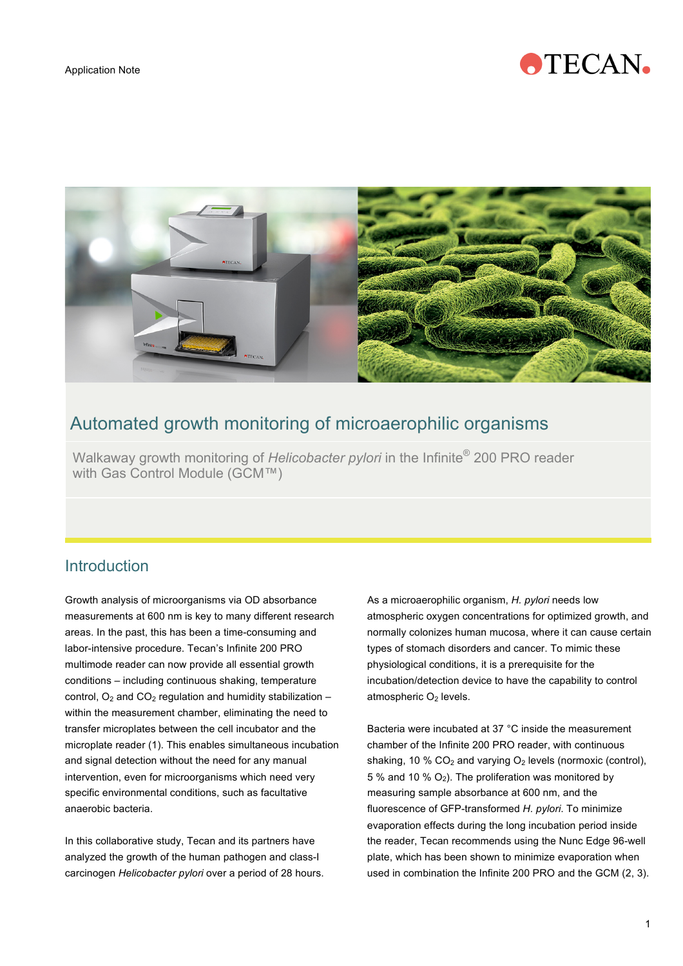



# Automated growth monitoring of microaerophilic organisms

 Walkaway growth monitoring of *Helicobacter pylori* in the Infinite® 200 PRO reader with Gas Control Module (GCM™)

## **Introduction**

Growth analysis of microorganisms via OD absorbance measurements at 600 nm is key to many different research areas. In the past, this has been a time-consuming and labor-intensive procedure. Tecan's Infinite 200 PRO multimode reader can now provide all essential growth conditions – including continuous shaking, temperature control,  $O_2$  and  $CO_2$  regulation and humidity stabilization – within the measurement chamber, eliminating the need to transfer microplates between the cell incubator and the microplate reader (1). This enables simultaneous incubation and signal detection without the need for any manual intervention, even for microorganisms which need very specific environmental conditions, such as facultative anaerobic bacteria.

In this collaborative study, Tecan and its partners have analyzed the growth of the human pathogen and class-I carcinogen *Helicobacter pylori* over a period of 28 hours. As a microaerophilic organism, *H. pylori* needs low atmospheric oxygen concentrations for optimized growth, and normally colonizes human mucosa, where it can cause certain types of stomach disorders and cancer. To mimic these physiological conditions, it is a prerequisite for the incubation/detection device to have the capability to control atmospheric  $O<sub>2</sub>$  levels.

Bacteria were incubated at 37 °C inside the measurement chamber of the Infinite 200 PRO reader, with continuous shaking, 10 %  $CO<sub>2</sub>$  and varying  $O<sub>2</sub>$  levels (normoxic (control), 5 % and 10 %  $O_2$ ). The proliferation was monitored by measuring sample absorbance at 600 nm, and the fluorescence of GFP-transformed *H. pylori*. To minimize evaporation effects during the long incubation period inside the reader, Tecan recommends using the Nunc Edge 96-well plate, which has been shown to minimize evaporation when used in combination the Infinite 200 PRO and the GCM (2, 3).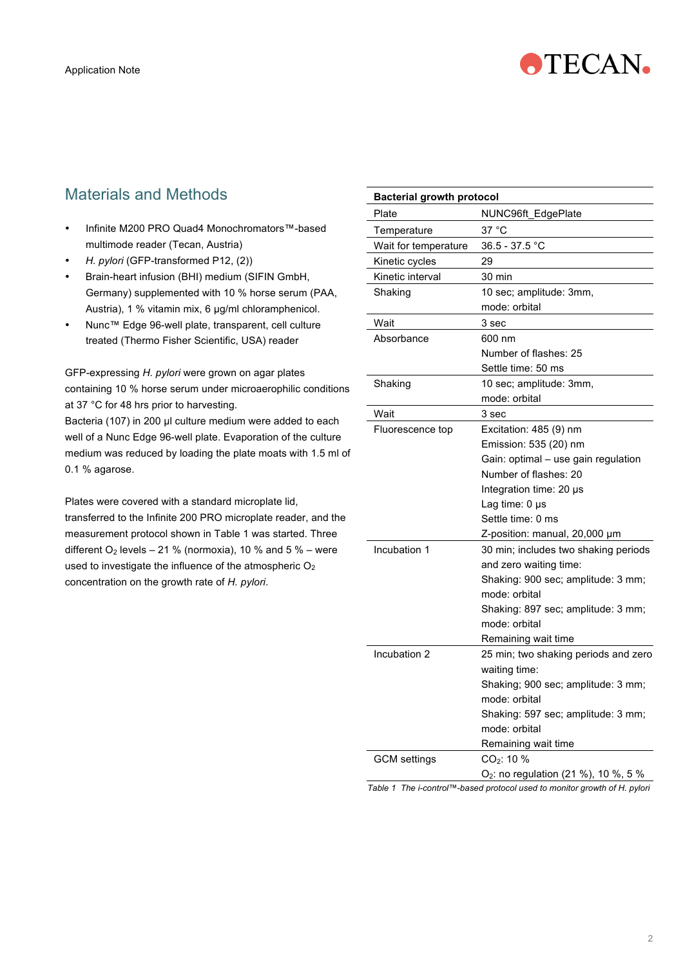

# Materials and Methods

- Infinite M200 PRO Quad4 Monochromators™-based multimode reader (Tecan, Austria)
- *H. pylori* (GFP-transformed P12, (2))
- Brain-heart infusion (BHI) medium (SIFIN GmbH, Germany) supplemented with 10 % horse serum (PAA, Austria), 1 % vitamin mix, 6 µg/ml chloramphenicol.
- Nunc™ Edge 96-well plate, transparent, cell culture treated (Thermo Fisher Scientific, USA) reader

GFP-expressing *H. pylori* were grown on agar plates containing 10 % horse serum under microaerophilic conditions at 37 °C for 48 hrs prior to harvesting.

Bacteria (107) in 200 µl culture medium were added to each well of a Nunc Edge 96-well plate. Evaporation of the culture medium was reduced by loading the plate moats with 1.5 ml of 0.1 % agarose.

Plates were covered with a standard microplate lid, transferred to the Infinite 200 PRO microplate reader, and the measurement protocol shown in Table 1 was started. Three different  $O_2$  levels – 21 % (normoxia), 10 % and 5 % – were used to investigate the influence of the atmospheric  $O<sub>2</sub>$ concentration on the growth rate of *H. pylori*.

| <b>Bacterial growth protocol</b> |                                                  |
|----------------------------------|--------------------------------------------------|
| Plate                            | NUNC96ft_EdgePlate                               |
| Temperature                      | 37 °C                                            |
| Wait for temperature             | 36.5 - 37.5 °C                                   |
| Kinetic cycles                   | 29                                               |
| Kinetic interval                 | 30 min                                           |
| Shaking                          | 10 sec; amplitude: 3mm,                          |
|                                  | mode: orbital                                    |
| Wait                             | 3 sec                                            |
| Absorbance                       | 600 nm                                           |
|                                  | Number of flashes: 25                            |
|                                  | Settle time: 50 ms                               |
| Shaking                          | 10 sec; amplitude: 3mm,                          |
|                                  | mode: orbital                                    |
| Wait                             | 3 sec                                            |
| Fluorescence top                 | Excitation: 485 (9) nm                           |
|                                  | Emission: 535 (20) nm                            |
|                                  | Gain: optimal - use gain regulation              |
|                                  | Number of flashes: 20                            |
|                                  | Integration time: 20 µs                          |
|                                  | Lag time: 0 µs                                   |
|                                  | Settle time: 0 ms                                |
|                                  | Z-position: manual, 20,000 µm                    |
| Incubation 1                     | 30 min; includes two shaking periods             |
|                                  | and zero waiting time:                           |
|                                  | Shaking: 900 sec; amplitude: 3 mm;               |
|                                  | mode: orbital                                    |
|                                  | Shaking: 897 sec; amplitude: 3 mm;               |
|                                  | mode: orbital                                    |
|                                  | Remaining wait time                              |
| Incubation 2                     | 25 min; two shaking periods and zero             |
|                                  | waiting time:                                    |
|                                  | Shaking; 900 sec; amplitude: 3 mm;               |
|                                  | mode: orbital                                    |
|                                  | Shaking: 597 sec; amplitude: 3 mm;               |
|                                  | mode: orbital                                    |
|                                  | Remaining wait time                              |
| GCM settings                     | $CO_{2}$ : 10 %                                  |
|                                  | O <sub>2</sub> : no regulation (21 %), 10 %, 5 % |

*Table 1 The i-control™-based protocol used to monitor growth of H. pylori*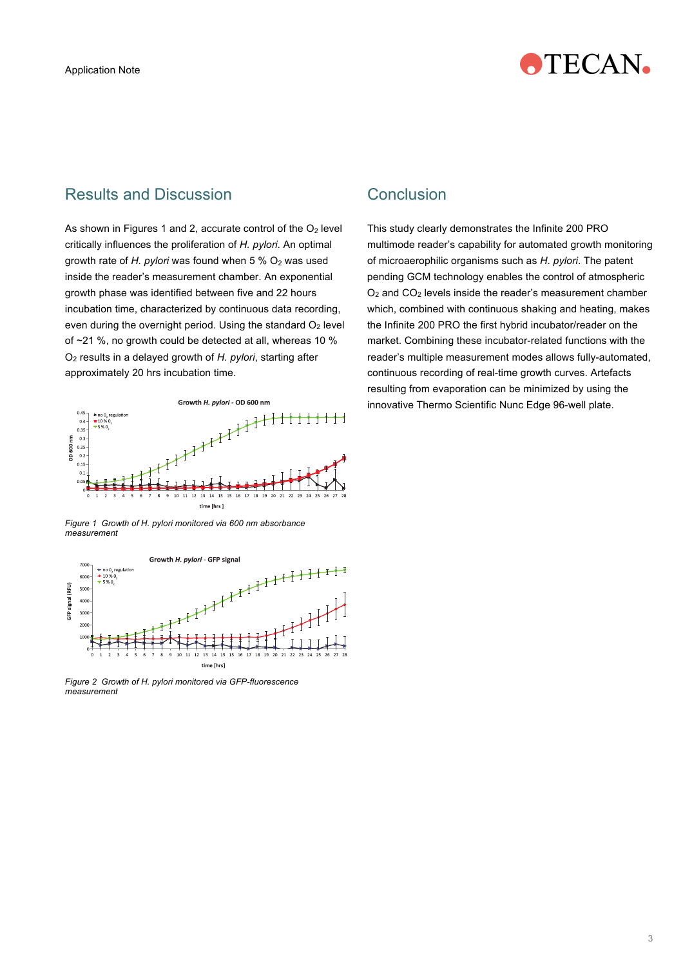

### Results and Discussion

As shown in Figures 1 and 2, accurate control of the  $O<sub>2</sub>$  level critically influences the proliferation of *H. pylori*. An optimal arowth rate of *H. pylori* was found when 5 % O<sub>2</sub> was used inside the reader's measurement chamber. An exponential growth phase was identified between five and 22 hours incubation time, characterized by continuous data recording, even during the overnight period. Using the standard  $O<sub>2</sub>$  level of ~21 %, no growth could be detected at all, whereas 10 % O2 results in a delayed growth of *H. pylori*, starting after approximately 20 hrs incubation time.



*Figure 1 Growth of H. pylori monitored via 600 nm absorbance measurement* 



*Figure 2 Growth of H. pylori monitored via GFP-fluorescence measurement* 

#### Conclusion

This study clearly demonstrates the Infinite 200 PRO multimode reader's capability for automated growth monitoring of microaerophilic organisms such as *H. pylori*. The patent pending GCM technology enables the control of atmospheric  $O<sub>2</sub>$  and  $CO<sub>2</sub>$  levels inside the reader's measurement chamber which, combined with continuous shaking and heating, makes the Infinite 200 PRO the first hybrid incubator/reader on the market. Combining these incubator-related functions with the reader's multiple measurement modes allows fully-automated, continuous recording of real-time growth curves. Artefacts resulting from evaporation can be minimized by using the innovative Thermo Scientific Nunc Edge 96-well plate.